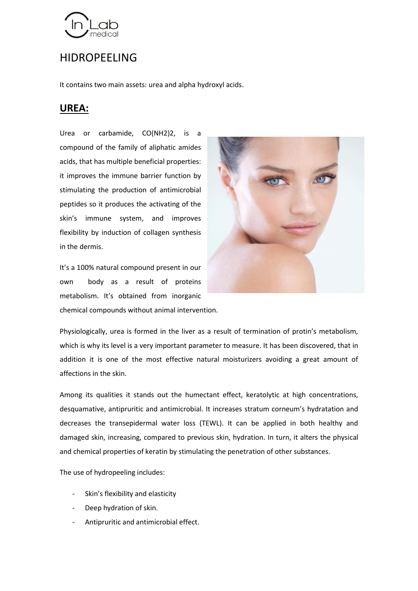

## HIDROPEELING

It contains two main assets: urea and alpha hydroxyl acids.

## **UREA:**

Urea or carbamide, CO(NH2)2, is a compound of the family of aliphatic amides acids, that has multiple beneficial properties: it improves the immune barrier function by stimulating the production of antimicrobial peptides so it produces the activating of the skin's immune system, and improves flexibility by induction of collagen synthesis in the dermis.

It's a 100% natural compound present in our own body as a result of proteins metabolism. It's obtained from inorganic chemical compounds without animal intervention.



Physiologically, urea is formed in the liver as a result of termination of protin's metabolism, which is why its level is a very important parameter to measure. It has been discovered, that in addition it is one of the most effective natural moisturizers avoiding a great amount of affections in the skin.

Among its qualities it stands out the humectant effect, keratolytic at high concentrations, desquamative, antipruritic and antimicrobial. It increases stratum corneum's hydratation and decreases the transepidermal water loss (TEWL). It can be applied in both healthy and damaged skin, increasing, compared to previous skin, hydration. In turn, it alters the physical and chemical properties of keratin by stimulating the penetration of other substances.

The use of hydropeeling includes:

- Skin's flexibility and elasticity
- Deep hydration of skin.
- Antipruritic and antimicrobial effect.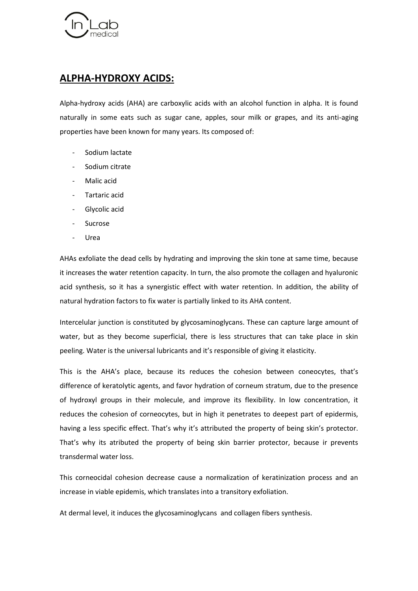

## **ALPHA-HYDROXY ACIDS:**

Alpha-hydroxy acids (AHA) are carboxylic acids with an alcohol function in alpha. It is found naturally in some eats such as sugar cane, apples, sour milk or grapes, and its anti-aging properties have been known for many years. Its composed of:

- Sodium lactate
- Sodium citrate
- Malic acid
- Tartaric acid
- Glycolic acid
- **Sucrose**
- Urea

AHAs exfoliate the dead cells by hydrating and improving the skin tone at same time, because it increases the water retention capacity. In turn, the also promote the collagen and hyaluronic acid synthesis, so it has a synergistic effect with water retention. In addition, the ability of natural hydration factors to fix water is partially linked to its AHA content.

Intercelular junction is constituted by glycosaminoglycans. These can capture large amount of water, but as they become superficial, there is less structures that can take place in skin peeling. Water is the universal lubricants and it's responsible of giving it elasticity.

This is the AHA's place, because its reduces the cohesion between coneocytes, that's difference of keratolytic agents, and favor hydration of corneum stratum, due to the presence of hydroxyl groups in their molecule, and improve its flexibility. In low concentration, it reduces the cohesion of corneocytes, but in high it penetrates to deepest part of epidermis, having a less specific effect. That's why it's attributed the property of being skin's protector. That's why its atributed the property of being skin barrier protector, because ir prevents transdermal water loss.

This corneocidal cohesion decrease cause a normalization of keratinization process and an increase in viable epidemis, which translates into a transitory exfoliation.

At dermal level, it induces the glycosaminoglycans and collagen fibers synthesis.